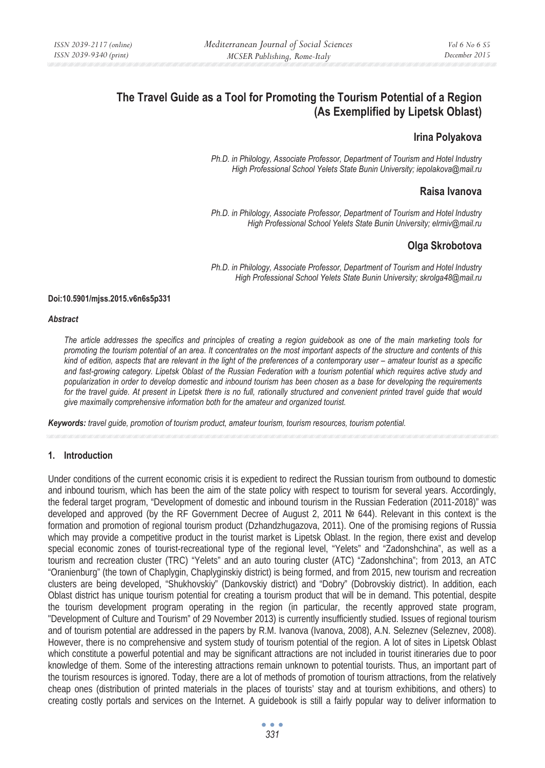# **The Travel Guide as a Tool for Promoting the Tourism Potential of a Region (As Exemplified by Lipetsk Oblast)**

## **Irina Polyakova**

*Ph.D. in Philology, Associate Professor, Department of Tourism and Hotel Industry High Professional School Yelets State Bunin University; iepolakova@mail.ru* 

### **Raisa Ivanova**

*Ph.D. in Philology, Associate Professor, Department of Tourism and Hotel Industry High Professional School Yelets State Bunin University; elrmiv@mail.ru* 

## **Olga Skrobotova**

*Ph.D. in Philology, Associate Professor, Department of Tourism and Hotel Industry High Professional School Yelets State Bunin University; skrolga48@mail.ru* 

#### **Doi:10.5901/mjss.2015.v6n6s5p331**

#### *Abstract*

*The article addresses the specifics and principles of creating a region guidebook as one of the main marketing tools for promoting the tourism potential of an area. It concentrates on the most important aspects of the structure and contents of this kind of edition, aspects that are relevant in the light of the preferences of a contemporary user – amateur tourist as a specific and fast-growing category. Lipetsk Oblast of the Russian Federation with a tourism potential which requires active study and popularization in order to develop domestic and inbound tourism has been chosen as a base for developing the requirements*  for the travel guide. At present in Lipetsk there is no full, rationally structured and convenient printed travel guide that would *give maximally comprehensive information both for the amateur and organized tourist.* 

*Keywords: travel guide, promotion of tourism product, amateur tourism, tourism resources, tourism potential.*

#### **1. Introduction**

Under conditions of the current economic crisis it is expedient to redirect the Russian tourism from outbound to domestic and inbound tourism, which has been the aim of the state policy with respect to tourism for several years. Accordingly, the federal target program, "Development of domestic and inbound tourism in the Russian Federation (2011-2018)" was developed and approved (by the RF Government Decree of August 2, 2011 № 644). Relevant in this context is the formation and promotion of regional tourism product (Dzhandzhugazova, 2011). One of the promising regions of Russia which may provide a competitive product in the tourist market is Lipetsk Oblast. In the region, there exist and develop special economic zones of tourist-recreational type of the regional level, "Yelets" and "Zadonshchina", as well as a tourism and recreation cluster (TRC) "Yelets" and an auto touring cluster (ATC) "Zadonshchina"; from 2013, an ATC "Oranienburg" (the town of Chaplygin, Chaplyginskiy district) is being formed, and from 2015, new tourism and recreation clusters are being developed, "Shukhovskiy" (Dankovskiy district) and "Dobry" (Dobrovskiy district). In addition, each Oblast district has unique tourism potential for creating a tourism product that will be in demand. This potential, despite the tourism development program operating in the region (in particular, the recently approved state program, "Development of Culture and Tourism" of 29 November 2013) is currently insufficiently studied. Issues of regional tourism and of tourism potential are addressed in the papers by R.M. Ivanova (Ivanova, 2008), A.N. Seleznev (Seleznev, 2008). However, there is no comprehensive and system study of tourism potential of the region. A lot of sites in Lipetsk Oblast which constitute a powerful potential and may be significant attractions are not included in tourist itineraries due to poor knowledge of them. Some of the interesting attractions remain unknown to potential tourists. Thus, an important part of the tourism resources is ignored. Today, there are a lot of methods of promotion of tourism attractions, from the relatively cheap ones (distribution of printed materials in the places of tourists' stay and at tourism exhibitions, and others) to creating costly portals and services on the Internet. A guidebook is still a fairly popular way to deliver information to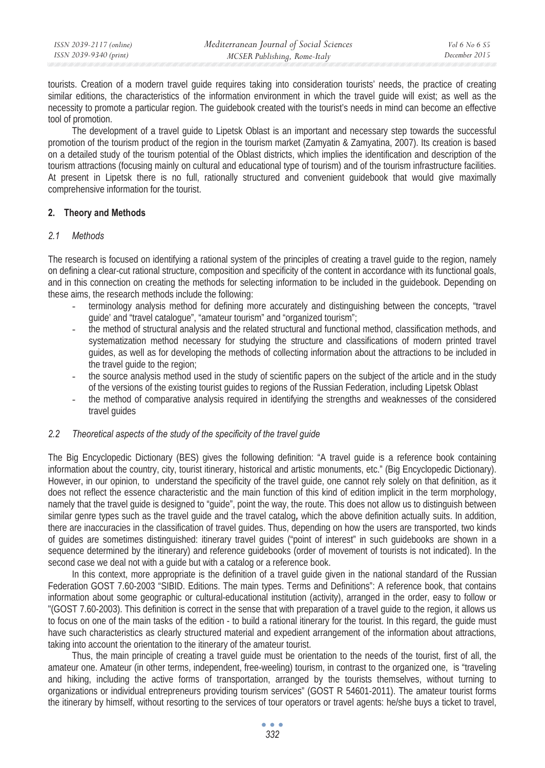tourists. Creation of a modern travel guide requires taking into consideration tourists' needs, the practice of creating similar editions, the characteristics of the information environment in which the travel guide will exist; as well as the necessity to promote a particular region. The guidebook created with the tourist's needs in mind can become an effective tool of promotion.

The development of a travel guide to Lipetsk Oblast is an important and necessary step towards the successful promotion of the tourism product of the region in the tourism market (Zamyatin & Zamyatina, 2007). Its creation is based on a detailed study of the tourism potential of the Oblast districts, which implies the identification and description of the tourism attractions (focusing mainly on cultural and educational type of tourism) and of the tourism infrastructure facilities. At present in Lipetsk there is no full, rationally structured and convenient guidebook that would give maximally comprehensive information for the tourist.

### **2. Theory and Methods**

#### *2.1 Methods*

The research is focused on identifying a rational system of the principles of creating a travel guide to the region, namely on defining a clear-cut rational structure, composition and specificity of the content in accordance with its functional goals, and in this connection on creating the methods for selecting information to be included in the guidebook. Depending on these aims, the research methods include the following:

- terminology analysis method for defining more accurately and distinguishing between the concepts, "travel guide' and "travel catalogue", "amateur tourism" and "organized tourism";
- the method of structural analysis and the related structural and functional method, classification methods, and systematization method necessary for studying the structure and classifications of modern printed travel guides, as well as for developing the methods of collecting information about the attractions to be included in the travel guide to the region;
- the source analysis method used in the study of scientific papers on the subject of the article and in the study of the versions of the existing tourist guides to regions of the Russian Federation, including Lipetsk Oblast
- the method of comparative analysis required in identifying the strengths and weaknesses of the considered travel guides

## *2.2 Theoretical aspects of the study of the specificity of the travel guide*

The Big Encyclopedic Dictionary (BES) gives the following definition: "A travel guide is a reference book containing information about the country, city, tourist itinerary, historical and artistic monuments, etc." (Big Encyclopedic Dictionary). However, in our opinion, to understand the specificity of the travel guide, one cannot rely solely on that definition, as it does not reflect the essence characteristic and the main function of this kind of edition implicit in the term morphology, namely that the travel guide is designed to "guide", point the way, the route. This does not allow us to distinguish between similar genre types such as the travel guide and the travel catalog*,* which the above definition actually suits. In addition, there are inaccuracies in the classification of travel guides. Thus, depending on how the users are transported, two kinds of guides are sometimes distinguished: itinerary travel guides ("point of interest" in such guidebooks are shown in a sequence determined by the itinerary) and reference guidebooks (order of movement of tourists is not indicated). In the second case we deal not with a guide but with a catalog or a reference book.

In this context, more appropriate is the definition of a travel guide given in the national standard of the Russian Federation GOST 7.60-2003 "SIBID. Editions. The main types. Terms and Definitions": A reference book, that contains information about some geographic or cultural-educational institution (activity), arranged in the order, easy to follow or "(GOST 7.60-2003). This definition is correct in the sense that with preparation of a travel guide to the region, it allows us to focus on one of the main tasks of the edition - to build a rational itinerary for the tourist. In this regard, the guide must have such characteristics as clearly structured material and expedient arrangement of the information about attractions, taking into account the orientation to the itinerary of the amateur tourist.

Thus, the main principle of creating a travel guide must be orientation to the needs of the tourist, first of all, the amateur one. Amateur (in other terms, independent, free-weeling) tourism, in contrast to the organized one, is "traveling and hiking, including the active forms of transportation, arranged by the tourists themselves, without turning to organizations or individual entrepreneurs providing tourism services" (GOST R 54601-2011). The amateur tourist forms the itinerary by himself, without resorting to the services of tour operators or travel agents: he/she buys a ticket to travel,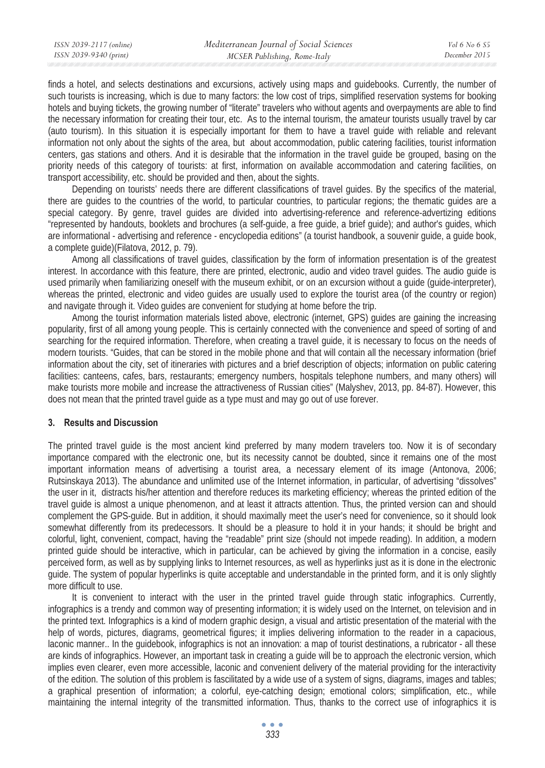finds a hotel, and selects destinations and excursions, actively using maps and guidebooks. Currently, the number of such tourists is increasing, which is due to many factors: the low cost of trips, simplified reservation systems for booking hotels and buying tickets, the growing number of "literate" travelers who without agents and overpayments are able to find the necessary information for creating their tour, etc. As to the internal tourism, the amateur tourists usually travel by car (auto tourism). In this situation it is especially important for them to have a travel guide with reliable and relevant information not only about the sights of the area, but about accommodation, public catering facilities, tourist information centers, gas stations and others. And it is desirable that the information in the travel guide be grouped, basing on the priority needs of this category of tourists: at first, information on available accommodation and catering facilities, on transport accessibility, etc. should be provided and then, about the sights.

Depending on tourists' needs there are different classifications of travel guides. By the specifics of the material, there are guides to the countries of the world, to particular countries, to particular regions; the thematic guides are a special category. By genre, travel guides are divided into advertising-reference and reference-advertizing editions "represented by handouts, booklets and brochures (a self-guide, a free guide, a brief guide); and author's guides, which are informational - advertising and reference - encyclopedia editions" (a tourist handbook, a souvenir guide, a guide book, a complete guide)(Filatova, 2012, p. 79).

Among all classifications of travel guides, classification by the form of information presentation is of the greatest interest. In accordance with this feature, there are printed, electronic, audio and video travel guides. The audio guide is used primarily when familiarizing oneself with the museum exhibit, or on an excursion without a guide (guide-interpreter), whereas the printed, electronic and video guides are usually used to explore the tourist area (of the country or region) and navigate through it. Video guides are convenient for studying at home before the trip.

Among the tourist information materials listed above, electronic (internet, GPS) guides are gaining the increasing popularity, first of all among young people. This is certainly connected with the convenience and speed of sorting of and searching for the required information. Therefore, when creating a travel guide, it is necessary to focus on the needs of modern tourists. "Guides, that can be stored in the mobile phone and that will contain all the necessary information (brief information about the city, set of itineraries with pictures and a brief description of objects; information on public catering facilities: canteens, cafes, bars, restaurants; emergency numbers, hospitals telephone numbers, and many others) will make tourists more mobile and increase the attractiveness of Russian cities" (Malyshev, 2013, pp. 84-87). However, this does not mean that the printed travel guide as a type must and may go out of use forever.

#### **3. Results and Discussion**

The printed travel guide is the most ancient kind preferred by many modern travelers too. Now it is of secondary importance compared with the electronic one, but its necessity cannot be doubted, since it remains one of the most important information means of advertising a tourist area, a necessary element of its image (Antonova, 2006; Rutsinskaya 2013). The abundance and unlimited use of the Internet information, in particular, of advertising "dissolves" the user in it, distracts his/her attention and therefore reduces its marketing efficiency; whereas the printed edition of the travel guide is almost a unique phenomenon, and at least it attracts attention. Thus, the printed version can and should complement the GPS-guide. But in addition, it should maximally meet the user's need for convenience, so it should look somewhat differently from its predecessors. It should be a pleasure to hold it in your hands; it should be bright and colorful, light, convenient, compact, having the "readable" print size (should not impede reading). In addition, a modern printed guide should be interactive, which in particular, can be achieved by giving the information in a concise, easily perceived form, as well as by supplying links to Internet resources, as well as hyperlinks just as it is done in the electronic guide. The system of popular hyperlinks is quite acceptable and understandable in the printed form, and it is only slightly more difficult to use.

It is convenient to interact with the user in the printed travel guide through static infographics. Currently, infographics is a trendy and common way of presenting information; it is widely used on the Internet, on television and in the printed text. Infographics is a kind of modern graphic design, a visual and artistic presentation of the material with the help of words, pictures, diagrams, geometrical figures; it implies delivering information to the reader in a capacious, laconic manner.. In the guidebook, infographics is not an innovation: a map of tourist destinations, a rubricator - all these are kinds of infographics. However, an important task in creating a guide will be to approach the electronic version, which implies even clearer, even more accessible, laconic and convenient delivery of the material providing for the interactivity of the edition. The solution of this problem is fascilitated by a wide use of a system of signs, diagrams, images and tables; a graphical presention of information; a colorful, eye-catching design; emotional colors; simplification, etc., while maintaining the internal integrity of the transmitted information. Thus, thanks to the correct use of infographics it is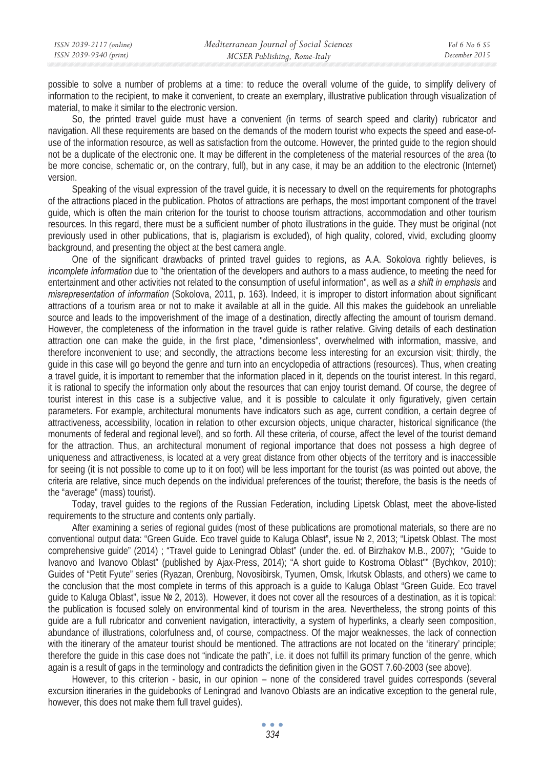possible to solve a number of problems at a time: to reduce the overall volume of the guide, to simplify delivery of information to the recipient, to make it convenient, to create an exemplary, illustrative publication through visualization of material, to make it similar to the electronic version.

So, the printed travel guide must have a convenient (in terms of search speed and clarity) rubricator and navigation. All these requirements are based on the demands of the modern tourist who expects the speed and ease-ofuse of the information resource, as well as satisfaction from the outcome. However, the printed guide to the region should not be a duplicate of the electronic one. It may be different in the completeness of the material resources of the area (to be more concise, schematic or, on the contrary, full), but in any case, it may be an addition to the electronic (Internet) version.

Speaking of the visual expression of the travel guide, it is necessary to dwell on the requirements for photographs of the attractions placed in the publication. Photos of attractions are perhaps, the most important component of the travel guide, which is often the main criterion for the tourist to choose tourism attractions, accommodation and other tourism resources. In this regard, there must be a sufficient number of photo illustrations in the guide. They must be original (not previously used in other publications, that is, plagiarism is excluded), of high quality, colored, vivid, excluding gloomy background, and presenting the object at the best camera angle.

One of the significant drawbacks of printed travel guides to regions, as A.A. Sokolova rightly believes, is *incomplete information* due to "the orientation of the developers and authors to a mass audience, to meeting the need for entertainment and other activities not related to the consumption of useful information", as well as *a shift in emphasis* and *misrepresentation of information* (Sokolova, 2011, p. 163). Indeed, it is improper to distort information about significant attractions of a tourism area or not to make it available at all in the guide. All this makes the guidebook an unreliable source and leads to the impoverishment of the image of a destination, directly affecting the amount of tourism demand. However, the completeness of the information in the travel guide is rather relative. Giving details of each destination attraction one can make the guide, in the first place, "dimensionless", overwhelmed with information, massive, and therefore inconvenient to use; and secondly, the attractions become less interesting for an excursion visit; thirdly, the guide in this case will go beyond the genre and turn into an encyclopedia of attractions (resources). Thus, when creating a travel guide, it is important to remember that the information placed in it, depends on the tourist interest. In this regard, it is rational to specify the information only about the resources that can enjoy tourist demand. Of course, the degree of tourist interest in this case is a subjective value, and it is possible to calculate it only figuratively, given certain parameters. For example, architectural monuments have indicators such as age, current condition, a certain degree of attractiveness, accessibility, location in relation to other excursion objects, unique character, historical significance (the monuments of federal and regional level), and so forth. All these criteria, of course, affect the level of the tourist demand for the attraction. Thus, an architectural monument of regional importance that does not possess a high degree of uniqueness and attractiveness, is located at a very great distance from other objects of the territory and is inaccessible for seeing (it is not possible to come up to it on foot) will be less important for the tourist (as was pointed out above, the criteria are relative, since much depends on the individual preferences of the tourist; therefore, the basis is the needs of the "average" (mass) tourist).

Today, travel guides to the regions of the Russian Federation, including Lipetsk Oblast, meet the above-listed requirements to the structure and contents only partially.

After examining a series of regional guides (most of these publications are promotional materials, so there are no conventional output data: "Green Guide. Eco travel guide to Kaluga Oblast", issue ʋ 2, 2013; "Lipetsk Oblast. The most comprehensive guide" (2014) ; "Travel guide to Leningrad Oblast" (under the. ed. of Birzhakov M.B., 2007); "Guide to Ivanovo and Ivanovo Oblast" (published by Ajax-Press, 2014); "A short guide to Kostroma Oblast"" (Bychkov, 2010); Guides of "Petit Fyute" series (Ryazan, Orenburg, Novosibirsk, Tyumen, Omsk, Irkutsk Oblasts, and others) we came to the conclusion that the most complete in terms of this approach is a guide to Kaluga Oblast "Green Guide. Eco travel quide to Kaluga Oblast", issue  $Ne 2$ , 2013). However, it does not cover all the resources of a destination, as it is topical: the publication is focused solely on environmental kind of tourism in the area. Nevertheless, the strong points of this guide are a full rubricator and convenient navigation, interactivity, a system of hyperlinks, a clearly seen composition, abundance of illustrations, colorfulness and, of course, compactness. Of the major weaknesses, the lack of connection with the itinerary of the amateur tourist should be mentioned. The attractions are not located on the 'itinerary' principle; therefore the guide in this case does not "indicate the path", i.e. it does not fulfill its primary function of the genre, which again is a result of gaps in the terminology and contradicts the definition given in the GOST 7.60-2003 (see above).

However, to this criterion - basic, in our opinion – none of the considered travel guides corresponds (several excursion itineraries in the guidebooks of Leningrad and Ivanovo Oblasts are an indicative exception to the general rule, however, this does not make them full travel guides).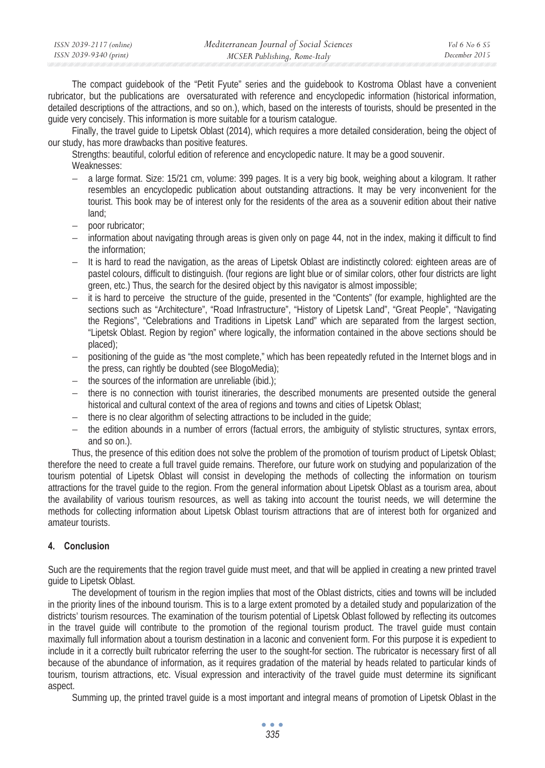The compact guidebook of the "Petit Fyute" series and the guidebook to Kostroma Oblast have a convenient rubricator, but the publications are oversaturated with reference and encyclopedic information (historical information, detailed descriptions of the attractions, and so on.), which, based on the interests of tourists, should be presented in the guide very concisely. This information is more suitable for a tourism catalogue.

Finally, the travel guide to Lipetsk Oblast (2014), which requires a more detailed consideration, being the object of our study, has more drawbacks than positive features.

Strengths: beautiful, colorful edition of reference and encyclopedic nature. It may be a good souvenir. Weaknesses:

- − a large format. Size: 15/21 cm, volume: 399 pages. It is a very big book, weighing about a kilogram. It rather resembles an encyclopedic publication about outstanding attractions. It may be very inconvenient for the tourist. This book may be of interest only for the residents of the area as a souvenir edition about their native land;
- poor rubricator;
- − information about navigating through areas is given only on page 44, not in the index, making it difficult to find the information;
- − It is hard to read the navigation, as the areas of Lipetsk Oblast are indistinctly colored: eighteen areas are of pastel colours, difficult to distinguish. (four regions are light blue or of similar colors, other four districts are light green, etc.) Thus, the search for the desired object by this navigator is almost impossible;
- − it is hard to perceive the structure of the guide, presented in the "Contents" (for example, highlighted are the sections such as "Architecture", "Road Infrastructure", "History of Lipetsk Land", "Great People", "Navigating the Regions", "Celebrations and Traditions in Lipetsk Land" which are separated from the largest section, "Lipetsk Oblast. Region by region" where logically, the information contained in the above sections should be placed);
- − positioning of the guide as "the most complete," which has been repeatedly refuted in the Internet blogs and in the press, can rightly be doubted (see BlogoMedia);
- − the sources of the information are unreliable (ibid.);
- − there is no connection with tourist itineraries, the described monuments are presented outside the general historical and cultural context of the area of regions and towns and cities of Lipetsk Oblast;
- − there is no clear algorithm of selecting attractions to be included in the guide;
- − the edition abounds in a number of errors (factual errors, the ambiguity of stylistic structures, syntax errors, and so on.).

Thus, the presence of this edition does not solve the problem of the promotion of tourism product of Lipetsk Oblast; therefore the need to create a full travel guide remains. Therefore, our future work on studying and popularization of the tourism potential of Lipetsk Oblast will consist in developing the methods of collecting the information on tourism attractions for the travel guide to the region. From the general information about Lipetsk Oblast as a tourism area, about the availability of various tourism resources, as well as taking into account the tourist needs, we will determine the methods for collecting information about Lipetsk Oblast tourism attractions that are of interest both for organized and amateur tourists.

## **4. Conclusion**

Such are the requirements that the region travel guide must meet, and that will be applied in creating a new printed travel guide to Lipetsk Oblast.

The development of tourism in the region implies that most of the Oblast districts, cities and towns will be included in the priority lines of the inbound tourism. This is to a large extent promoted by a detailed study and popularization of the districts' tourism resources. The examination of the tourism potential of Lipetsk Oblast followed by reflecting its outcomes in the travel guide will contribute to the promotion of the regional tourism product. The travel guide must contain maximally full information about a tourism destination in a laconic and convenient form. For this purpose it is expedient to include in it a correctly built rubricator referring the user to the sought-for section. The rubricator is necessary first of all because of the abundance of information, as it requires gradation of the material by heads related to particular kinds of tourism, tourism attractions, etc. Visual expression and interactivity of the travel guide must determine its significant aspect.

Summing up, the printed travel guide is a most important and integral means of promotion of Lipetsk Oblast in the

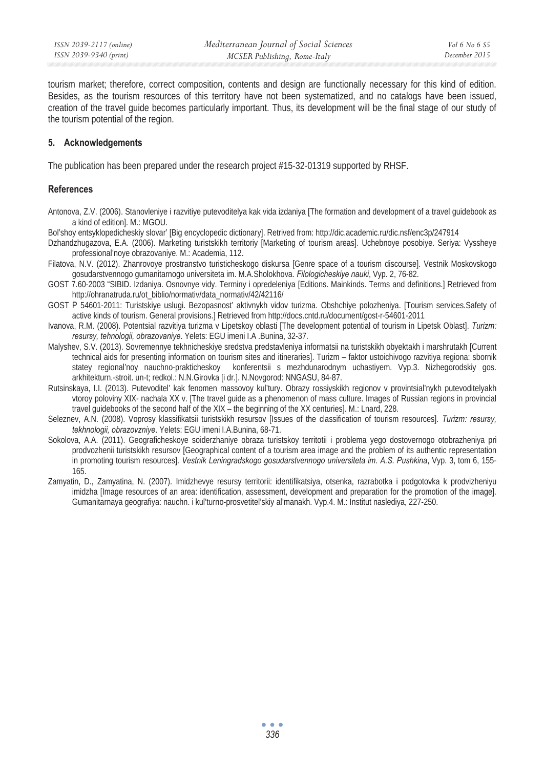tourism market; therefore, correct composition, contents and design are functionally necessary for this kind of edition. Besides, as the tourism resources of this territory have not been systematized, and no catalogs have been issued, creation of the travel guide becomes particularly important. Thus, its development will be the final stage of our study of the tourism potential of the region.

### **5. Acknowledgements**

The publication has been prepared under the research project #15-32-01319 supported by RHSF.

#### **References**

Antonova, Z.V. (2006). Stanovleniye i razvitiye putevoditelya kak vida izdaniya [The formation and development of a travel guidebook as a kind of edition]. M.: MGOU.

Bol'shoy entsyklopedicheskiy slovar' [Big encyclopedic dictionary]. Retrived from: http://dic.academic.ru/dic.nsf/enc3p/247914

- Dzhandzhugazova, E.A. (2006). Marketing turistskikh territoriy [Marketing of tourism areas]. Uchebnoye posobiye. Seriya: Vyssheye professional'noye obrazovaniye. M.: Academia, 112.
- Filatova, N.V. (2012). Zhanrovoye prostranstvo turisticheskogo diskursa [Genre space of a tourism discourse]. Vestnik Moskovskogo gosudarstvennogo gumanitarnogo universiteta im. M.A.Sholokhova. *Filologicheskiye nauki*, Vyp. 2, 76-82.
- GOST 7.60-2003 "SIBID. Izdaniya. Osnovnye vidy. Terminy i opredeleniya [Editions. Mainkinds. Terms and definitions.] Retrieved from http://ohranatruda.ru/ot\_biblio/normativ/data\_normativ/42/42116/
- GOST P 54601-2011: Turistskiye uslugi. Bezopasnost' aktivnykh vidov turizma. Obshchiye polozheniya. [Tourism services.Safety of active kinds of tourism. General provisions.] Retrieved from http://docs.cntd.ru/document/gost-r-54601-2011
- Ivanova, R.M. (2008). Potentsial razvitiya turizma v Lipetskoy oblasti [The development potential of tourism in Lipetsk Oblast]. *Turizm: resursy, tehnologii, obrazovaniye*. Yelets: EGU imeni I.A .Bunina, 32-37.
- Malyshev, S.V. (2013). Sovremennye tekhnicheskiye sredstva predstavleniya informatsii na turistskikh obyektakh i marshrutakh [Current technical aids for presenting information on tourism sites and itineraries]. Turizm – faktor ustoichivogo razvitiya regiona: sbornik statey regional'noy nauchno-prakticheskoy konferentsii s mezhdunarodnym uchastiyem. Vyp.3. Nizhegorodskiy gos. arkhitekturn.-stroit. un-t; redkol.: N.N.Girovka [i dr.]. N.Novgorod: NNGASU, 84-87.
- Rutsinskaya, I.I. (2013). Putevoditel' kak fenomen massovoy kul'tury. Obrazy rossiyskikh regionov v provintsial'nykh putevoditelyakh vtoroy poloviny XIX- nachala XX v. [The travel guide as a phenomenon of mass culture. Images of Russian regions in provincial travel guidebooks of the second half of the XIX – the beginning of the XX centuries]. M.: Lnard, 228.
- Seleznev, A.N. (2008). Voprosy klassifikatsii turistskikh resursov [Issues of the classification of tourism resources]. *Turizm: resursy, tekhnologii, obrazovzniye*. Yelets: EGU imeni I.A.Bunina, 68-71.
- Sokolova, A.A. (2011). Geograficheskoye soiderzhaniye obraza turistskoy territotii i problema yego dostovernogo otobrazheniya pri prodvozhenii turistskikh resursov [Geographical content of a tourism area image and the problem of its authentic representation in promoting tourism resources]. *Vestnik Leningradskogo gosudarstvennogo universiteta im. A.S. Pushkina*, Vyp. 3, tom 6, 155- 165.
- Zamyatin, D., Zamyatina, N. (2007). Imidzhevye resursy territorii: identifikatsiya, otsenka, razrabotka i podgotovka k prodvizheniyu imidzha [Image resources of an area: identification, assessment, development and preparation for the promotion of the image]. Gumanitarnaya geografiya: nauchn. i kul'turno-prosvetitel'skiy al'manakh. Vyp.4. M.: Institut naslediya, 227-250.